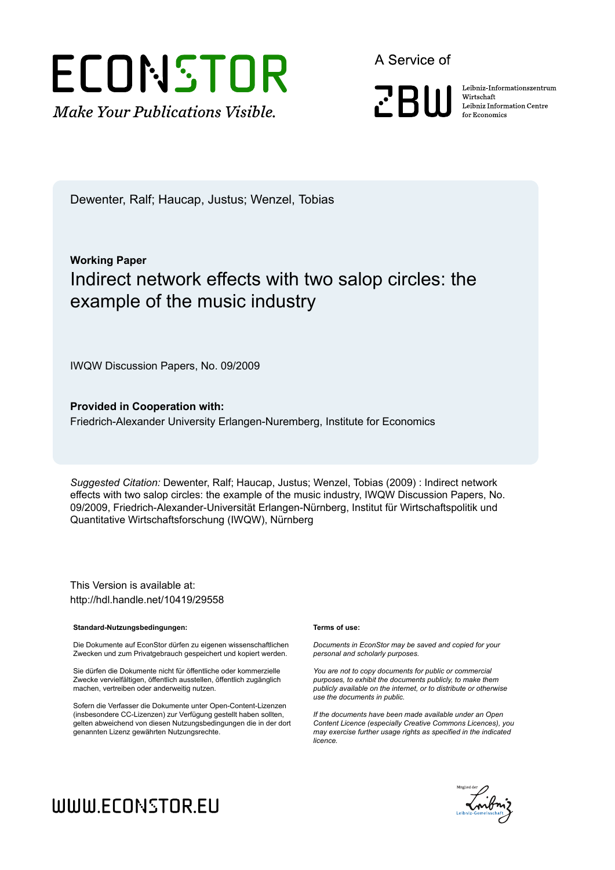# ECONSTOR **Make Your Publications Visible.**

A Service of

**ZBW** 

Leibniz Informationszentrum Wirtschaft Leibniz Information Centre for Economics

Dewenter, Ralf; Haucap, Justus; Wenzel, Tobias

# **Working Paper** Indirect network effects with two salop circles: the example of the music industry

IWQW Discussion Papers, No. 09/2009

**Provided in Cooperation with:** Friedrich-Alexander University Erlangen-Nuremberg, Institute for Economics

*Suggested Citation:* Dewenter, Ralf; Haucap, Justus; Wenzel, Tobias (2009) : Indirect network effects with two salop circles: the example of the music industry, IWQW Discussion Papers, No. 09/2009, Friedrich-Alexander-Universität Erlangen-Nürnberg, Institut für Wirtschaftspolitik und Quantitative Wirtschaftsforschung (IWQW), Nürnberg

This Version is available at: http://hdl.handle.net/10419/29558

#### **Standard-Nutzungsbedingungen:**

Die Dokumente auf EconStor dürfen zu eigenen wissenschaftlichen Zwecken und zum Privatgebrauch gespeichert und kopiert werden.

Sie dürfen die Dokumente nicht für öffentliche oder kommerzielle Zwecke vervielfältigen, öffentlich ausstellen, öffentlich zugänglich machen, vertreiben oder anderweitig nutzen.

Sofern die Verfasser die Dokumente unter Open-Content-Lizenzen (insbesondere CC-Lizenzen) zur Verfügung gestellt haben sollten, gelten abweichend von diesen Nutzungsbedingungen die in der dort genannten Lizenz gewährten Nutzungsrechte.

#### **Terms of use:**

*Documents in EconStor may be saved and copied for your personal and scholarly purposes.*

*You are not to copy documents for public or commercial purposes, to exhibit the documents publicly, to make them publicly available on the internet, or to distribute or otherwise use the documents in public.*

*If the documents have been made available under an Open Content Licence (especially Creative Commons Licences), you may exercise further usage rights as specified in the indicated licence.*



# WWW.ECONSTOR.EU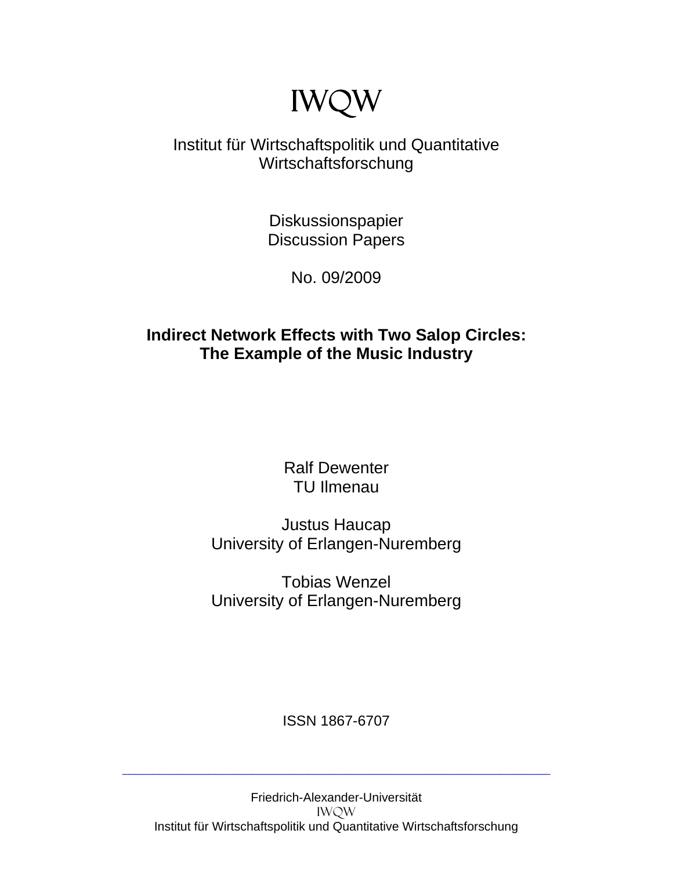# IWQW

# Institut für Wirtschaftspolitik und Quantitative Wirtschaftsforschung

Diskussionspapier Discussion Papers

No. 09/2009

## **Indirect Network Effects with Two Salop Circles: The Example of the Music Industry**

Ralf Dewenter TU Ilmenau

Justus Haucap University of Erlangen-Nuremberg

Tobias Wenzel University of Erlangen-Nuremberg

ISSN 1867-6707

\_\_\_\_\_\_\_\_\_\_\_\_\_\_\_\_\_\_\_\_\_\_\_\_\_\_\_\_\_\_\_\_\_\_\_\_\_\_\_\_\_\_\_\_\_\_\_\_\_\_\_\_\_\_\_\_\_\_\_\_\_\_\_\_\_\_\_\_\_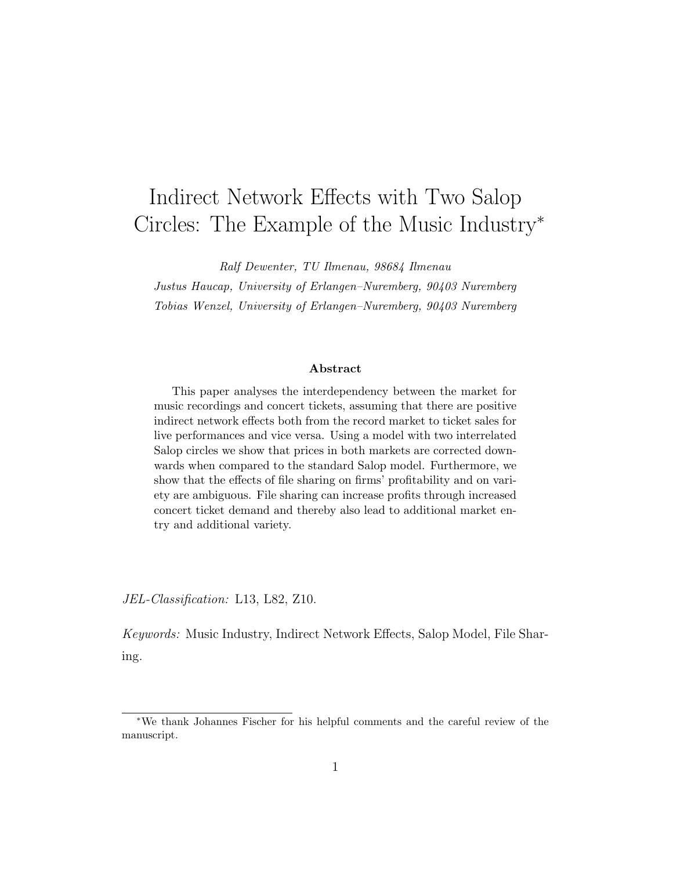# Indirect Network Effects with Two Salop Circles: The Example of the Music Industry<sup>∗</sup>

Ralf Dewenter, TU Ilmenau, 98684 Ilmenau

Justus Haucap, University of Erlangen–Nuremberg, 90403 Nuremberg Tobias Wenzel, University of Erlangen–Nuremberg, 90403 Nuremberg

#### Abstract

This paper analyses the interdependency between the market for music recordings and concert tickets, assuming that there are positive indirect network effects both from the record market to ticket sales for live performances and vice versa. Using a model with two interrelated Salop circles we show that prices in both markets are corrected downwards when compared to the standard Salop model. Furthermore, we show that the effects of file sharing on firms' profitability and on variety are ambiguous. File sharing can increase profits through increased concert ticket demand and thereby also lead to additional market entry and additional variety.

JEL-Classification: L13, L82, Z10.

Keywords: Music Industry, Indirect Network Effects, Salop Model, File Sharing.

<sup>∗</sup>We thank Johannes Fischer for his helpful comments and the careful review of the manuscript.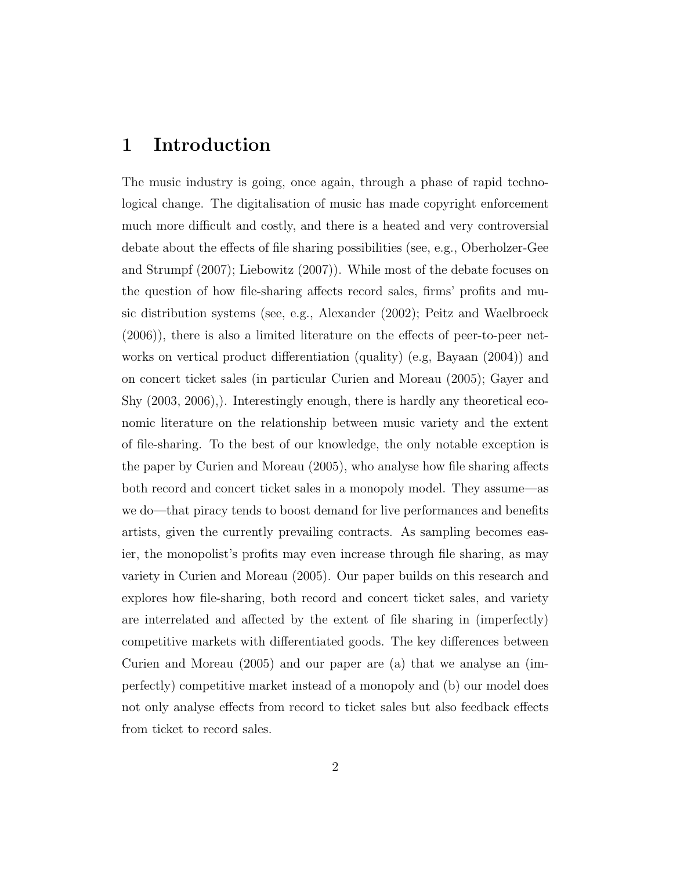#### 1 Introduction

The music industry is going, once again, through a phase of rapid technological change. The digitalisation of music has made copyright enforcement much more difficult and costly, and there is a heated and very controversial debate about the effects of file sharing possibilities (see, e.g., Oberholzer-Gee and Strumpf (2007); Liebowitz (2007)). While most of the debate focuses on the question of how file-sharing affects record sales, firms' profits and music distribution systems (see, e.g., Alexander (2002); Peitz and Waelbroeck (2006)), there is also a limited literature on the effects of peer-to-peer networks on vertical product differentiation (quality) (e.g, Bayaan (2004)) and on concert ticket sales (in particular Curien and Moreau (2005); Gayer and Shy (2003, 2006),). Interestingly enough, there is hardly any theoretical economic literature on the relationship between music variety and the extent of file-sharing. To the best of our knowledge, the only notable exception is the paper by Curien and Moreau (2005), who analyse how file sharing affects both record and concert ticket sales in a monopoly model. They assume—as we do—that piracy tends to boost demand for live performances and benefits artists, given the currently prevailing contracts. As sampling becomes easier, the monopolist's profits may even increase through file sharing, as may variety in Curien and Moreau (2005). Our paper builds on this research and explores how file-sharing, both record and concert ticket sales, and variety are interrelated and affected by the extent of file sharing in (imperfectly) competitive markets with differentiated goods. The key differences between Curien and Moreau (2005) and our paper are (a) that we analyse an (imperfectly) competitive market instead of a monopoly and (b) our model does not only analyse effects from record to ticket sales but also feedback effects from ticket to record sales.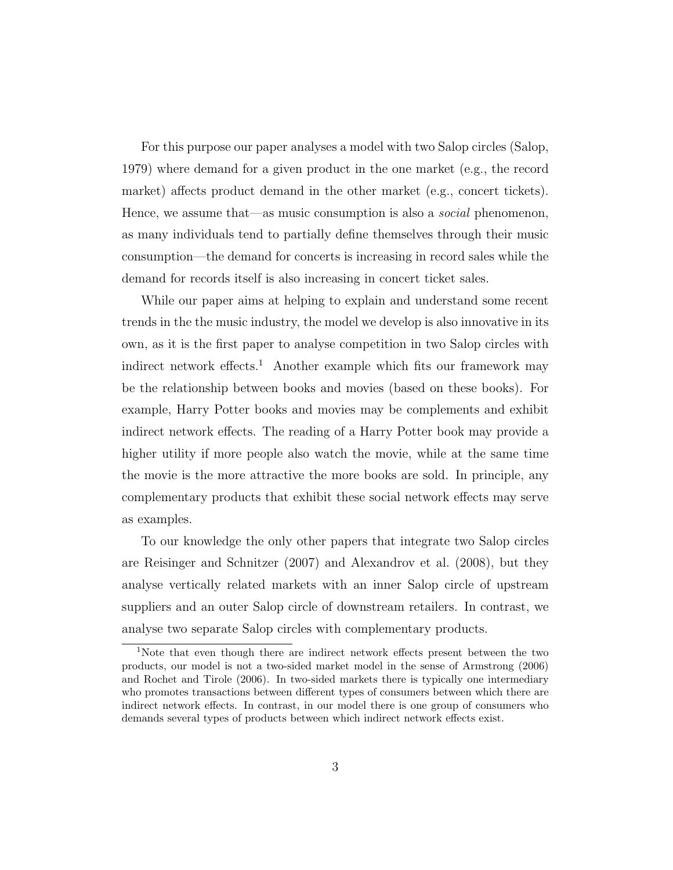For this purpose our paper analyses a model with two Salop circles (Salop, 1979) where demand for a given product in the one market (e.g., the record market) affects product demand in the other market (e.g., concert tickets). Hence, we assume that—as music consumption is also a *social* phenomenon, as many individuals tend to partially define themselves through their music consumption—the demand for concerts is increasing in record sales while the demand for records itself is also increasing in concert ticket sales.

While our paper aims at helping to explain and understand some recent trends in the the music industry, the model we develop is also innovative in its own, as it is the first paper to analyse competition in two Salop circles with indirect network effects.<sup>1</sup> Another example which fits our framework may be the relationship between books and movies (based on these books). For example, Harry Potter books and movies may be complements and exhibit indirect network effects. The reading of a Harry Potter book may provide a higher utility if more people also watch the movie, while at the same time the movie is the more attractive the more books are sold. In principle, any complementary products that exhibit these social network effects may serve as examples.

To our knowledge the only other papers that integrate two Salop circles are Reisinger and Schnitzer (2007) and Alexandrov et al. (2008), but they analyse vertically related markets with an inner Salop circle of upstream suppliers and an outer Salop circle of downstream retailers. In contrast, we analyse two separate Salop circles with complementary products.

<sup>1</sup>Note that even though there are indirect network effects present between the two products, our model is not a two-sided market model in the sense of Armstrong (2006) and Rochet and Tirole (2006). In two-sided markets there is typically one intermediary who promotes transactions between different types of consumers between which there are indirect network effects. In contrast, in our model there is one group of consumers who demands several types of products between which indirect network effects exist.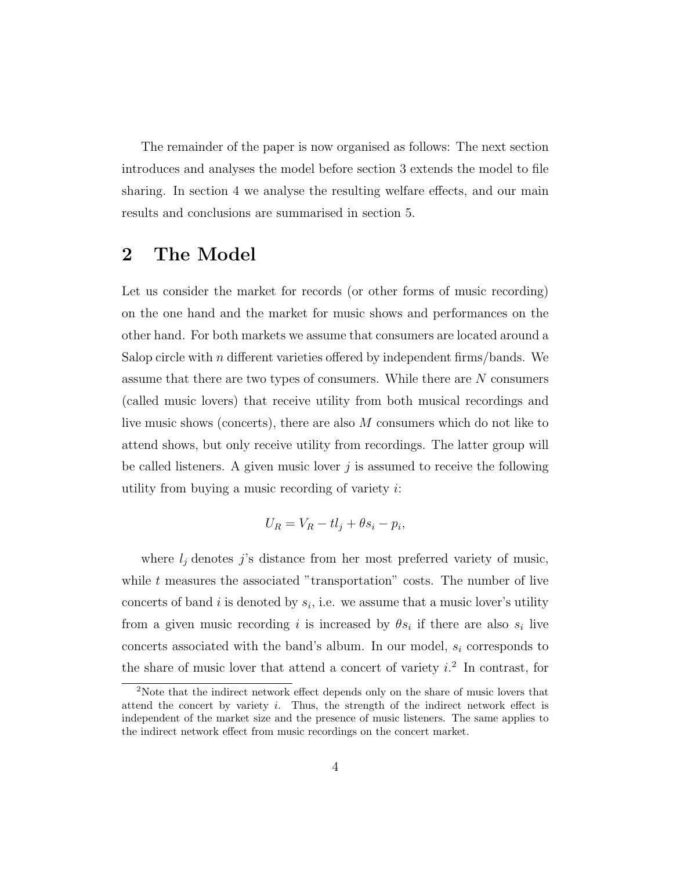The remainder of the paper is now organised as follows: The next section introduces and analyses the model before section 3 extends the model to file sharing. In section 4 we analyse the resulting welfare effects, and our main results and conclusions are summarised in section 5.

### 2 The Model

Let us consider the market for records (or other forms of music recording) on the one hand and the market for music shows and performances on the other hand. For both markets we assume that consumers are located around a Salop circle with  $n$  different varieties offered by independent firms/bands. We assume that there are two types of consumers. While there are N consumers (called music lovers) that receive utility from both musical recordings and live music shows (concerts), there are also M consumers which do not like to attend shows, but only receive utility from recordings. The latter group will be called listeners. A given music lover  $j$  is assumed to receive the following utility from buying a music recording of variety  $i$ :

$$
U_R = V_R - t l_j + \theta s_i - p_i,
$$

where  $l_j$  denotes j's distance from her most preferred variety of music, while  $t$  measures the associated "transportation" costs. The number of live concerts of band i is denoted by  $s_i$ , i.e. we assume that a music lover's utility from a given music recording *i* is increased by  $\theta s_i$  if there are also  $s_i$  live concerts associated with the band's album. In our model,  $s_i$  corresponds to the share of music lover that attend a concert of variety  $i^2$ . In contrast, for

<sup>&</sup>lt;sup>2</sup>Note that the indirect network effect depends only on the share of music lovers that attend the concert by variety  $i$ . Thus, the strength of the indirect network effect is independent of the market size and the presence of music listeners. The same applies to the indirect network effect from music recordings on the concert market.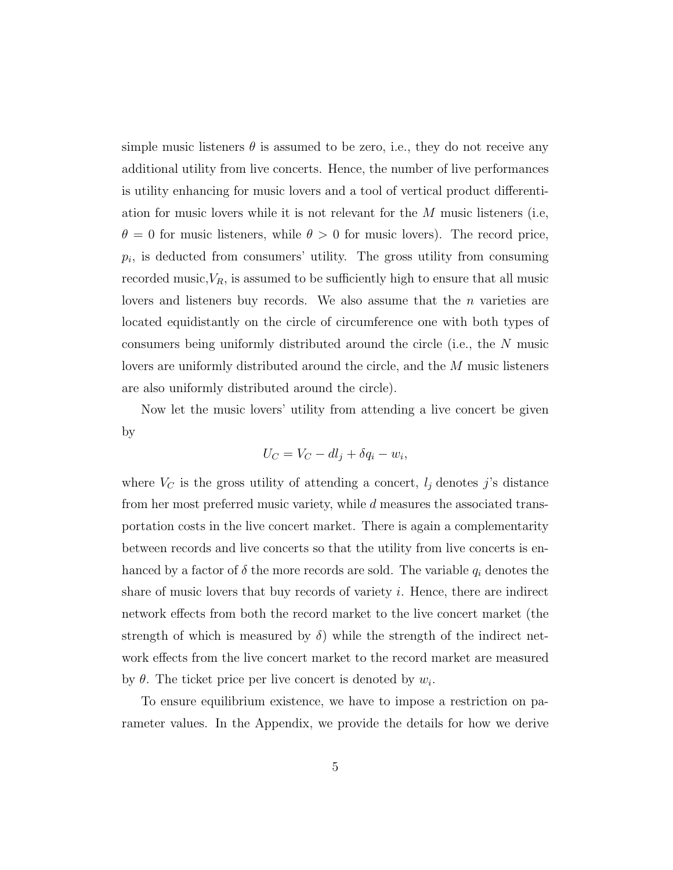simple music listeners  $\theta$  is assumed to be zero, i.e., they do not receive any additional utility from live concerts. Hence, the number of live performances is utility enhancing for music lovers and a tool of vertical product differentiation for music lovers while it is not relevant for the  $M$  music listeners (i.e,  $\theta = 0$  for music listeners, while  $\theta > 0$  for music lovers). The record price,  $p_i$ , is deducted from consumers' utility. The gross utility from consuming recorded music, $V_R$ , is assumed to be sufficiently high to ensure that all music lovers and listeners buy records. We also assume that the  $n$  varieties are located equidistantly on the circle of circumference one with both types of consumers being uniformly distributed around the circle (i.e., the N music lovers are uniformly distributed around the circle, and the M music listeners are also uniformly distributed around the circle).

Now let the music lovers' utility from attending a live concert be given by

$$
U_C = V_C - dl_j + \delta q_i - w_i,
$$

where  $V_C$  is the gross utility of attending a concert,  $l_j$  denotes j's distance from her most preferred music variety, while d measures the associated transportation costs in the live concert market. There is again a complementarity between records and live concerts so that the utility from live concerts is enhanced by a factor of  $\delta$  the more records are sold. The variable  $q_i$  denotes the share of music lovers that buy records of variety  $i$ . Hence, there are indirect network effects from both the record market to the live concert market (the strength of which is measured by  $\delta$ ) while the strength of the indirect network effects from the live concert market to the record market are measured by  $\theta$ . The ticket price per live concert is denoted by  $w_i$ .

To ensure equilibrium existence, we have to impose a restriction on parameter values. In the Appendix, we provide the details for how we derive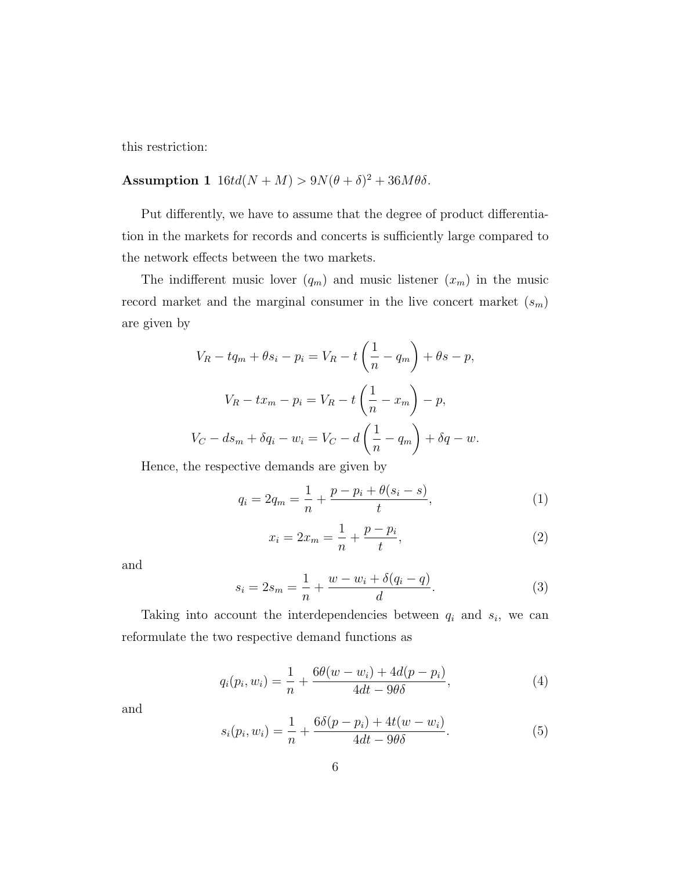this restriction:

#### Assumption 1  $16td(N+M) > 9N(\theta + \delta)^2 + 36M\theta\delta$ .

Put differently, we have to assume that the degree of product differentiation in the markets for records and concerts is sufficiently large compared to the network effects between the two markets.

The indifferent music lover  $(q_m)$  and music listener  $(x_m)$  in the music record market and the marginal consumer in the live concert market  $(s_m)$ are given by

$$
V_R - tq_m + \theta s_i - p_i = V_R - t \left(\frac{1}{n} - q_m\right) + \theta s - p,
$$
  

$$
V_R - tx_m - p_i = V_R - t \left(\frac{1}{n} - x_m\right) - p,
$$
  

$$
V_C - ds_m + \delta q_i - w_i = V_C - d \left(\frac{1}{n} - q_m\right) + \delta q - w.
$$

Hence, the respective demands are given by

$$
q_i = 2q_m = \frac{1}{n} + \frac{p - p_i + \theta(s_i - s)}{t},
$$
\n(1)

$$
x_i = 2x_m = \frac{1}{n} + \frac{p - p_i}{t},
$$
\n(2)

and

$$
s_i = 2s_m = \frac{1}{n} + \frac{w - w_i + \delta(q_i - q)}{d}.
$$
 (3)

Taking into account the interdependencies between  $q_i$  and  $s_i$ , we can reformulate the two respective demand functions as

$$
q_i(p_i, w_i) = \frac{1}{n} + \frac{6\theta(w - w_i) + 4d(p - p_i)}{4dt - 9\theta\delta},
$$
\n(4)

and

$$
s_i(p_i, w_i) = \frac{1}{n} + \frac{6\delta(p - p_i) + 4t(w - w_i)}{4dt - 9\theta\delta}.
$$
 (5)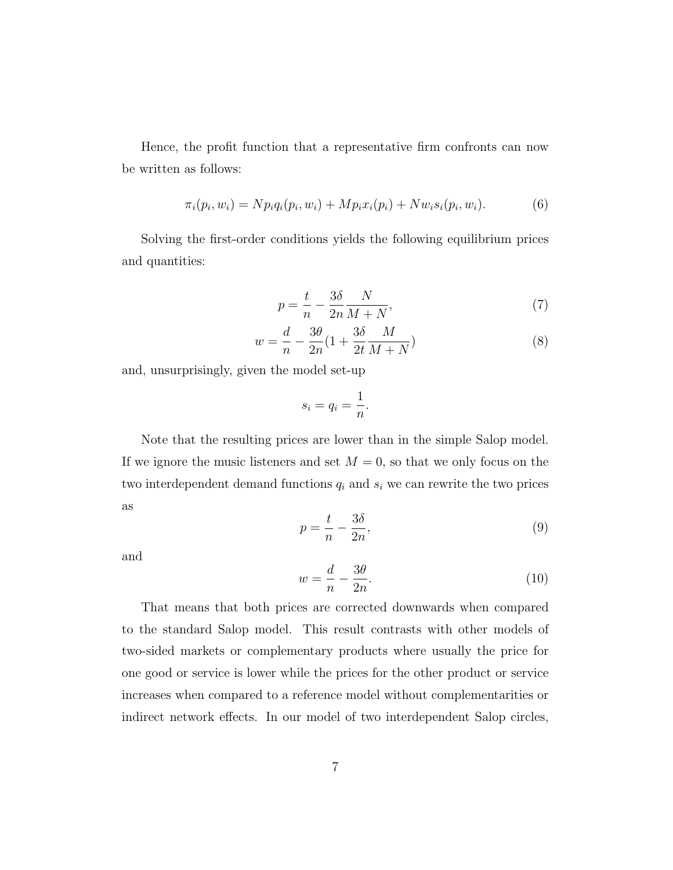Hence, the profit function that a representative firm confronts can now be written as follows:

$$
\pi_i(p_i, w_i) = N p_i q_i(p_i, w_i) + M p_i x_i(p_i) + N w_i s_i(p_i, w_i).
$$
 (6)

Solving the first-order conditions yields the following equilibrium prices and quantities:

$$
p = \frac{t}{n} - \frac{3\delta}{2n} \frac{N}{M + N},\tag{7}
$$

$$
w = \frac{d}{n} - \frac{3\theta}{2n}(1 + \frac{3\delta}{2t}\frac{M}{M+N})
$$
\n(8)

and, unsurprisingly, given the model set-up

$$
s_i = q_i = \frac{1}{n}.
$$

Note that the resulting prices are lower than in the simple Salop model. If we ignore the music listeners and set  $M = 0$ , so that we only focus on the two interdependent demand functions  $q_i$  and  $s_i$  we can rewrite the two prices as

$$
p = \frac{t}{n} - \frac{3\delta}{2n},\tag{9}
$$

and

$$
w = \frac{d}{n} - \frac{3\theta}{2n}.\tag{10}
$$

That means that both prices are corrected downwards when compared to the standard Salop model. This result contrasts with other models of two-sided markets or complementary products where usually the price for one good or service is lower while the prices for the other product or service increases when compared to a reference model without complementarities or indirect network effects. In our model of two interdependent Salop circles,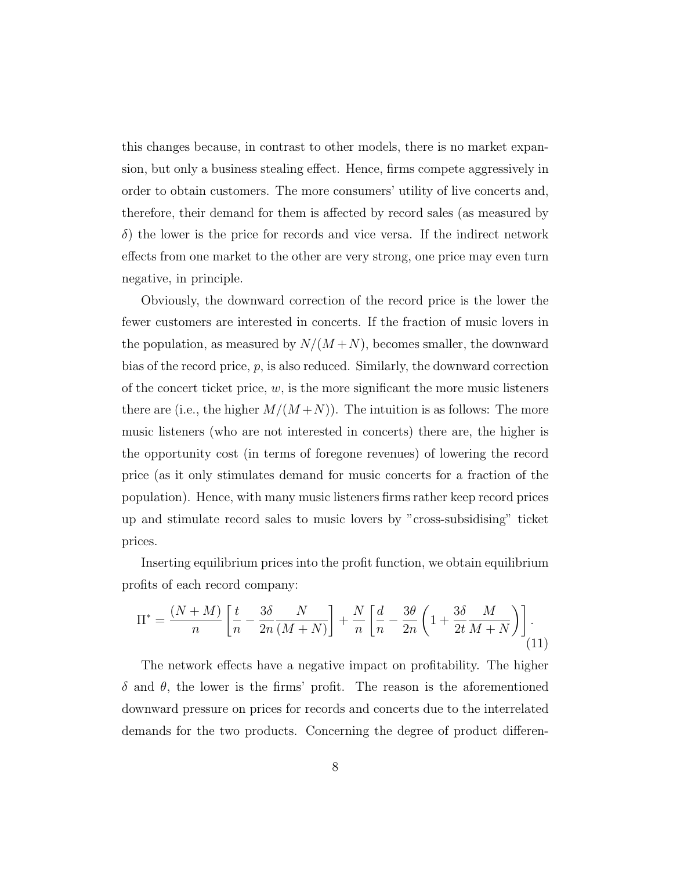this changes because, in contrast to other models, there is no market expansion, but only a business stealing effect. Hence, firms compete aggressively in order to obtain customers. The more consumers' utility of live concerts and, therefore, their demand for them is affected by record sales (as measured by  $\delta$ ) the lower is the price for records and vice versa. If the indirect network effects from one market to the other are very strong, one price may even turn negative, in principle.

Obviously, the downward correction of the record price is the lower the fewer customers are interested in concerts. If the fraction of music lovers in the population, as measured by  $N/(M+N)$ , becomes smaller, the downward bias of the record price, p, is also reduced. Similarly, the downward correction of the concert ticket price,  $w$ , is the more significant the more music listeners there are (i.e., the higher  $M/(M+N)$ ). The intuition is as follows: The more music listeners (who are not interested in concerts) there are, the higher is the opportunity cost (in terms of foregone revenues) of lowering the record price (as it only stimulates demand for music concerts for a fraction of the population). Hence, with many music listeners firms rather keep record prices up and stimulate record sales to music lovers by "cross-subsidising" ticket prices.

Inserting equilibrium prices into the profit function, we obtain equilibrium profits of each record company:

$$
\Pi^* = \frac{(N+M)}{n} \left[ \frac{t}{n} - \frac{3\delta}{2n} \frac{N}{(M+N)} \right] + \frac{N}{n} \left[ \frac{d}{n} - \frac{3\theta}{2n} \left( 1 + \frac{3\delta}{2t} \frac{M}{M+N} \right) \right].
$$
\n(11)

The network effects have a negative impact on profitability. The higher  $\delta$  and  $\theta$ , the lower is the firms' profit. The reason is the aforementioned downward pressure on prices for records and concerts due to the interrelated demands for the two products. Concerning the degree of product differen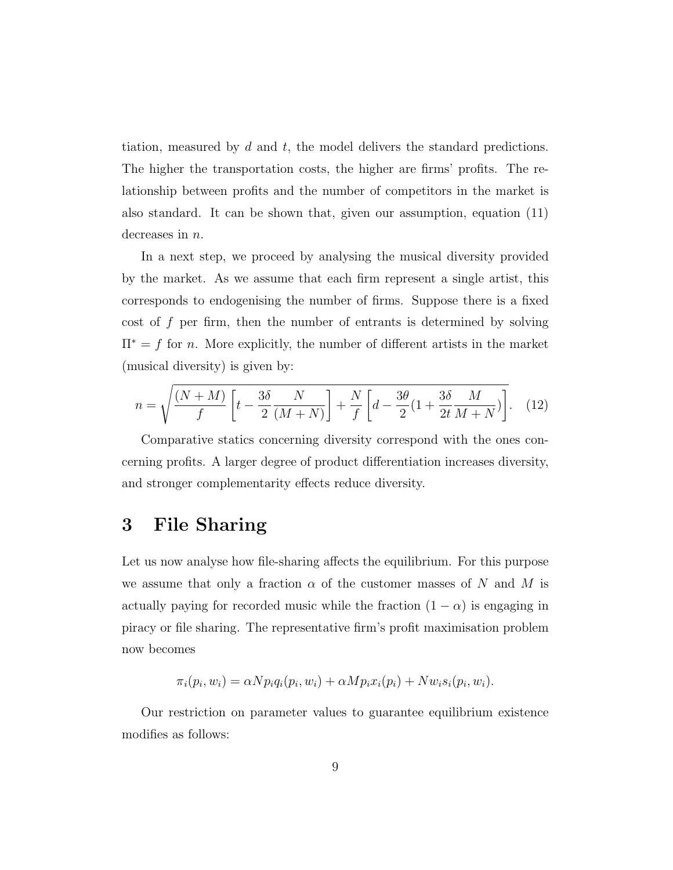tiation, measured by  $d$  and  $t$ , the model delivers the standard predictions. The higher the transportation costs, the higher are firms' profits. The relationship between profits and the number of competitors in the market is also standard. It can be shown that, given our assumption, equation (11) decreases in  $n$ .

In a next step, we proceed by analysing the musical diversity provided by the market. As we assume that each firm represent a single artist, this corresponds to endogenising the number of firms. Suppose there is a fixed cost of  $f$  per firm, then the number of entrants is determined by solving  $\Pi^* = f$  for *n*. More explicitly, the number of different artists in the market (musical diversity) is given by:

$$
n = \sqrt{\frac{(N+M)}{f} \left[ t - \frac{3\delta}{2} \frac{N}{(M+N)} \right] + \frac{N}{f} \left[ d - \frac{3\theta}{2} (1 + \frac{3\delta}{2t} \frac{M}{M+N}) \right]}.
$$
 (12)

Comparative statics concerning diversity correspond with the ones concerning profits. A larger degree of product differentiation increases diversity, and stronger complementarity effects reduce diversity.

#### 3 File Sharing

Let us now analyse how file-sharing affects the equilibrium. For this purpose we assume that only a fraction  $\alpha$  of the customer masses of N and M is actually paying for recorded music while the fraction  $(1 - \alpha)$  is engaging in piracy or file sharing. The representative firm's profit maximisation problem now becomes

$$
\pi_i(p_i, w_i) = \alpha N p_i q_i(p_i, w_i) + \alpha M p_i x_i(p_i) + N w_i s_i(p_i, w_i).
$$

Our restriction on parameter values to guarantee equilibrium existence modifies as follows: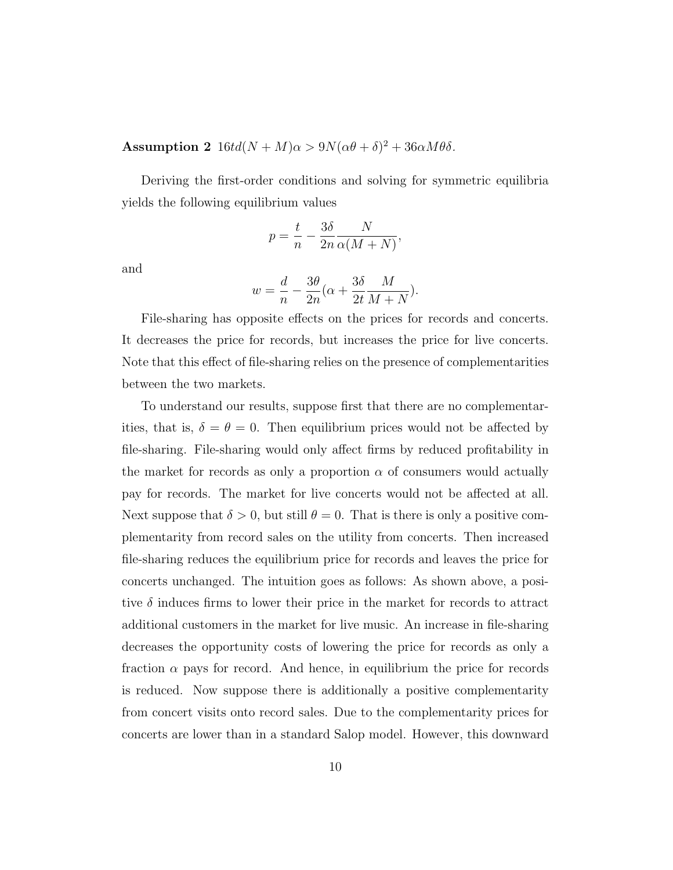Assumption 2  $16td(N+M)\alpha > 9N(\alpha\theta + \delta)^2 + 36\alpha M\theta\delta$ .

Deriving the first-order conditions and solving for symmetric equilibria yields the following equilibrium values

$$
p = \frac{t}{n} - \frac{3\delta}{2n} \frac{N}{\alpha(M+N)},
$$

and

$$
w = \frac{d}{n} - \frac{3\theta}{2n}(\alpha + \frac{3\delta}{2t}\frac{M}{M+N}).
$$

File-sharing has opposite effects on the prices for records and concerts. It decreases the price for records, but increases the price for live concerts. Note that this effect of file-sharing relies on the presence of complementarities between the two markets.

To understand our results, suppose first that there are no complementarities, that is,  $\delta = \theta = 0$ . Then equilibrium prices would not be affected by file-sharing. File-sharing would only affect firms by reduced profitability in the market for records as only a proportion  $\alpha$  of consumers would actually pay for records. The market for live concerts would not be affected at all. Next suppose that  $\delta > 0$ , but still  $\theta = 0$ . That is there is only a positive complementarity from record sales on the utility from concerts. Then increased file-sharing reduces the equilibrium price for records and leaves the price for concerts unchanged. The intuition goes as follows: As shown above, a positive  $\delta$  induces firms to lower their price in the market for records to attract additional customers in the market for live music. An increase in file-sharing decreases the opportunity costs of lowering the price for records as only a fraction  $\alpha$  pays for record. And hence, in equilibrium the price for records is reduced. Now suppose there is additionally a positive complementarity from concert visits onto record sales. Due to the complementarity prices for concerts are lower than in a standard Salop model. However, this downward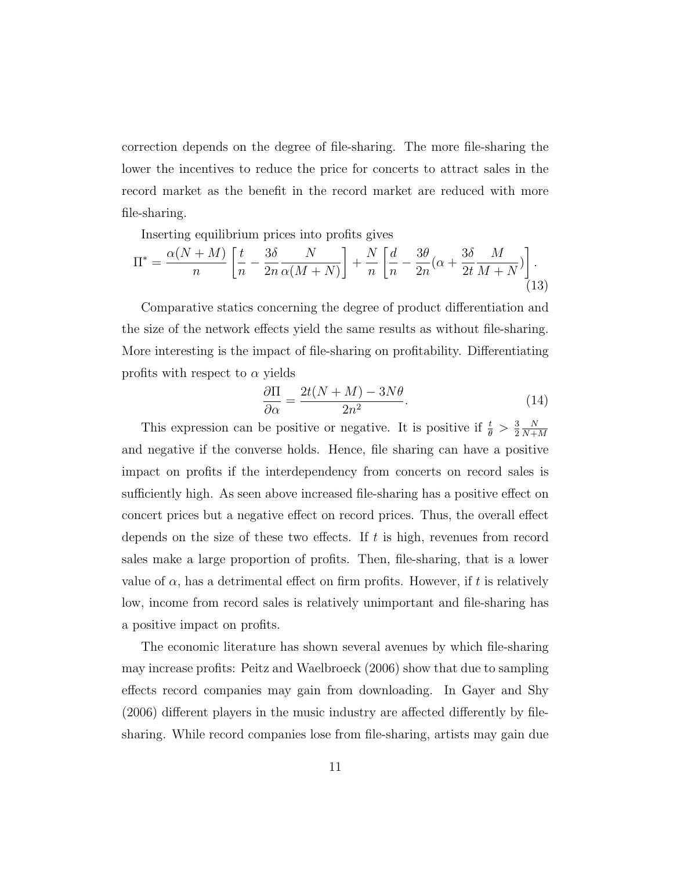correction depends on the degree of file-sharing. The more file-sharing the lower the incentives to reduce the price for concerts to attract sales in the record market as the benefit in the record market are reduced with more file-sharing.

Inserting equilibrium prices into profits gives

$$
\Pi^* = \frac{\alpha(N+M)}{n} \left[ \frac{t}{n} - \frac{3\delta}{2n} \frac{N}{\alpha(M+N)} \right] + \frac{N}{n} \left[ \frac{d}{n} - \frac{3\theta}{2n} (\alpha + \frac{3\delta}{2t} \frac{M}{M+N}) \right].
$$
\n(13)

Comparative statics concerning the degree of product differentiation and the size of the network effects yield the same results as without file-sharing. More interesting is the impact of file-sharing on profitability. Differentiating profits with respect to  $\alpha$  yields

$$
\frac{\partial \Pi}{\partial \alpha} = \frac{2t(N+M) - 3N\theta}{2n^2}.
$$
\n(14)

This expression can be positive or negative. It is positive if  $\frac{t}{\theta} > \frac{3}{2}$ 2 N  $N+M$ and negative if the converse holds. Hence, file sharing can have a positive impact on profits if the interdependency from concerts on record sales is sufficiently high. As seen above increased file-sharing has a positive effect on concert prices but a negative effect on record prices. Thus, the overall effect depends on the size of these two effects. If  $t$  is high, revenues from record sales make a large proportion of profits. Then, file-sharing, that is a lower value of  $\alpha$ , has a detrimental effect on firm profits. However, if t is relatively low, income from record sales is relatively unimportant and file-sharing has a positive impact on profits.

The economic literature has shown several avenues by which file-sharing may increase profits: Peitz and Waelbroeck (2006) show that due to sampling effects record companies may gain from downloading. In Gayer and Shy (2006) different players in the music industry are affected differently by filesharing. While record companies lose from file-sharing, artists may gain due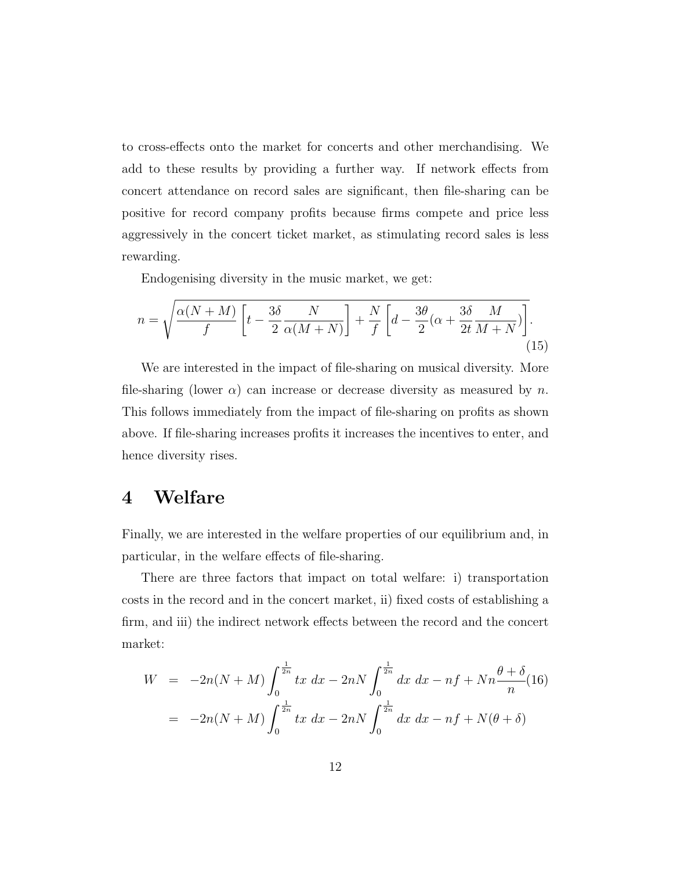to cross-effects onto the market for concerts and other merchandising. We add to these results by providing a further way. If network effects from concert attendance on record sales are significant, then file-sharing can be positive for record company profits because firms compete and price less aggressively in the concert ticket market, as stimulating record sales is less rewarding.

Endogenising diversity in the music market, we get:

$$
n = \sqrt{\frac{\alpha(N+M)}{f} \left[ t - \frac{3\delta}{2} \frac{N}{\alpha(M+N)} \right] + \frac{N}{f} \left[ d - \frac{3\theta}{2} (\alpha + \frac{3\delta}{2t} \frac{M}{M+N}) \right]}.
$$
\n(15)

We are interested in the impact of file-sharing on musical diversity. More file-sharing (lower  $\alpha$ ) can increase or decrease diversity as measured by n. This follows immediately from the impact of file-sharing on profits as shown above. If file-sharing increases profits it increases the incentives to enter, and hence diversity rises.

#### 4 Welfare

Finally, we are interested in the welfare properties of our equilibrium and, in particular, in the welfare effects of file-sharing.

There are three factors that impact on total welfare: i) transportation costs in the record and in the concert market, ii) fixed costs of establishing a firm, and iii) the indirect network effects between the record and the concert market:

$$
W = -2n(N+M)\int_0^{\frac{1}{2n}} tx \, dx - 2nN \int_0^{\frac{1}{2n}} dx \, dx - nf + Nn \frac{\theta + \delta}{n} (16)
$$
  
=  $-2n(N+M) \int_0^{\frac{1}{2n}} tx \, dx - 2nN \int_0^{\frac{1}{2n}} dx \, dx - nf + N(\theta + \delta)$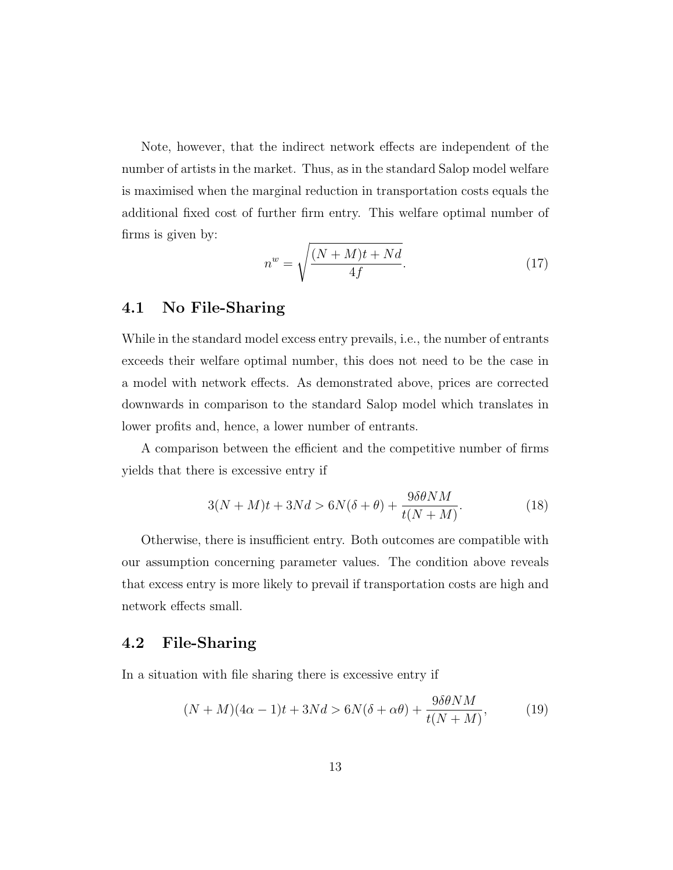Note, however, that the indirect network effects are independent of the number of artists in the market. Thus, as in the standard Salop model welfare is maximised when the marginal reduction in transportation costs equals the additional fixed cost of further firm entry. This welfare optimal number of firms is given by:

$$
n^w = \sqrt{\frac{(N+M)t + Nd}{4f}}.\tag{17}
$$

#### 4.1 No File-Sharing

While in the standard model excess entry prevails, i.e., the number of entrants exceeds their welfare optimal number, this does not need to be the case in a model with network effects. As demonstrated above, prices are corrected downwards in comparison to the standard Salop model which translates in lower profits and, hence, a lower number of entrants.

A comparison between the efficient and the competitive number of firms yields that there is excessive entry if

$$
3(N+M)t + 3Nd > 6N(\delta + \theta) + \frac{9\delta\theta NM}{t(N+M)}.
$$
\n(18)

Otherwise, there is insufficient entry. Both outcomes are compatible with our assumption concerning parameter values. The condition above reveals that excess entry is more likely to prevail if transportation costs are high and network effects small.

#### 4.2 File-Sharing

In a situation with file sharing there is excessive entry if

$$
(N+M)(4\alpha - 1)t + 3Nd > 6N(\delta + \alpha \theta) + \frac{9\delta\theta NM}{t(N+M)},
$$
\n(19)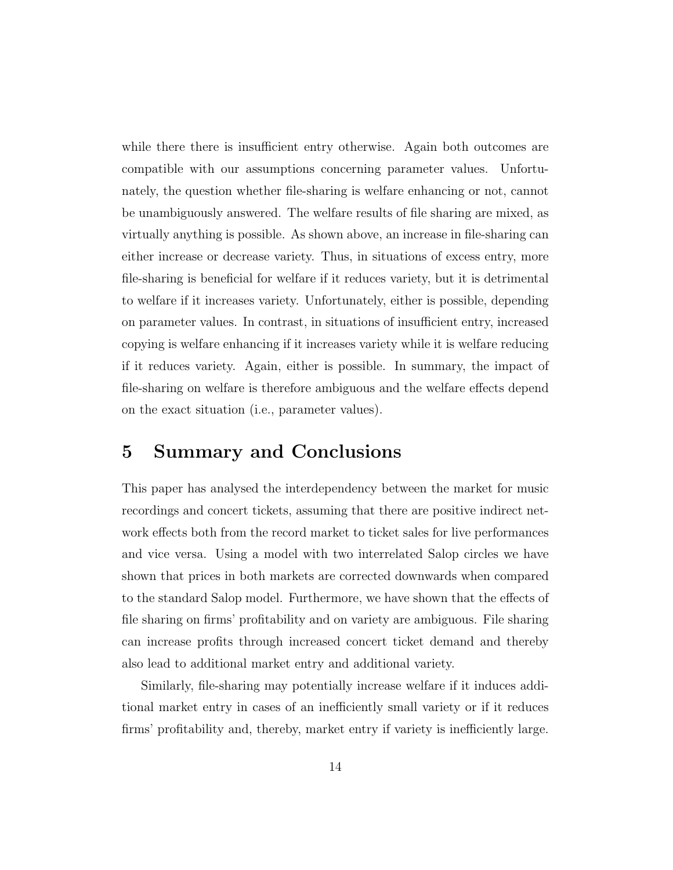while there there is insufficient entry otherwise. Again both outcomes are compatible with our assumptions concerning parameter values. Unfortunately, the question whether file-sharing is welfare enhancing or not, cannot be unambiguously answered. The welfare results of file sharing are mixed, as virtually anything is possible. As shown above, an increase in file-sharing can either increase or decrease variety. Thus, in situations of excess entry, more file-sharing is beneficial for welfare if it reduces variety, but it is detrimental to welfare if it increases variety. Unfortunately, either is possible, depending on parameter values. In contrast, in situations of insufficient entry, increased copying is welfare enhancing if it increases variety while it is welfare reducing if it reduces variety. Again, either is possible. In summary, the impact of file-sharing on welfare is therefore ambiguous and the welfare effects depend on the exact situation (i.e., parameter values).

#### 5 Summary and Conclusions

This paper has analysed the interdependency between the market for music recordings and concert tickets, assuming that there are positive indirect network effects both from the record market to ticket sales for live performances and vice versa. Using a model with two interrelated Salop circles we have shown that prices in both markets are corrected downwards when compared to the standard Salop model. Furthermore, we have shown that the effects of file sharing on firms' profitability and on variety are ambiguous. File sharing can increase profits through increased concert ticket demand and thereby also lead to additional market entry and additional variety.

Similarly, file-sharing may potentially increase welfare if it induces additional market entry in cases of an inefficiently small variety or if it reduces firms' profitability and, thereby, market entry if variety is inefficiently large.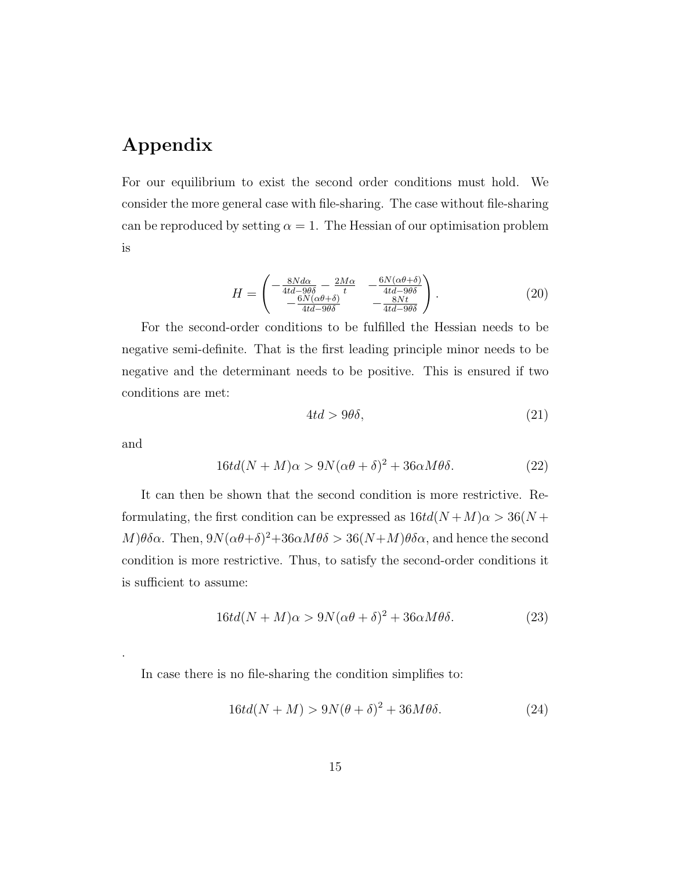## Appendix

For our equilibrium to exist the second order conditions must hold. We consider the more general case with file-sharing. The case without file-sharing can be reproduced by setting  $\alpha = 1$ . The Hessian of our optimisation problem is

$$
H = \begin{pmatrix} -\frac{8N d\alpha}{4td - 9\theta\delta} - \frac{2M\alpha}{t} & -\frac{6N(\alpha\theta + \delta)}{4td - 9\theta\delta} \\ -\frac{6N(\alpha\theta + \delta)}{4td - 9\theta\delta} & -\frac{8Nt}{4td - 9\theta\delta} \end{pmatrix}.
$$
 (20)

For the second-order conditions to be fulfilled the Hessian needs to be negative semi-definite. That is the first leading principle minor needs to be negative and the determinant needs to be positive. This is ensured if two conditions are met:

$$
4td > 9\theta\delta,\tag{21}
$$

and

.

$$
16td(N+M)\alpha > 9N(\alpha\theta + \delta)^2 + 36\alpha M\theta\delta.
$$
 (22)

It can then be shown that the second condition is more restrictive. Reformulating, the first condition can be expressed as  $16td(N+M)\alpha > 36(N+$ M) $\theta \delta \alpha$ . Then,  $9N(\alpha \theta + \delta)^2 + 36\alpha M \theta \delta > 36(N+M) \theta \delta \alpha$ , and hence the second condition is more restrictive. Thus, to satisfy the second-order conditions it is sufficient to assume:

$$
16td(N+M)\alpha > 9N(\alpha\theta + \delta)^2 + 36\alpha M\theta\delta.
$$
 (23)

In case there is no file-sharing the condition simplifies to:

$$
16td(N+M) > 9N(\theta + \delta)^2 + 36M\theta\delta.
$$
 (24)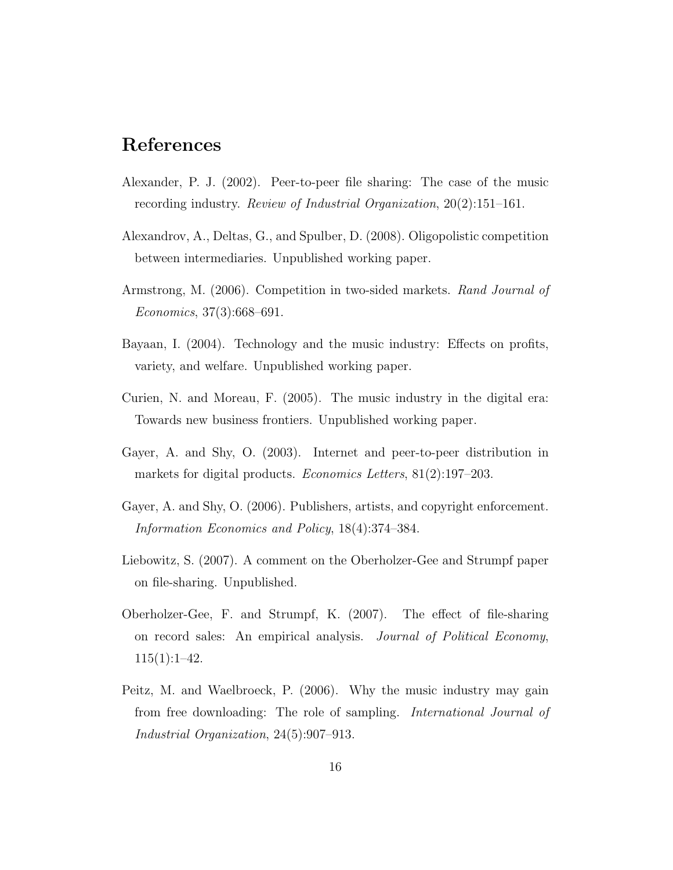### References

- Alexander, P. J. (2002). Peer-to-peer file sharing: The case of the music recording industry. Review of Industrial Organization, 20(2):151–161.
- Alexandrov, A., Deltas, G., and Spulber, D. (2008). Oligopolistic competition between intermediaries. Unpublished working paper.
- Armstrong, M. (2006). Competition in two-sided markets. Rand Journal of Economics, 37(3):668–691.
- Bayaan, I. (2004). Technology and the music industry: Effects on profits, variety, and welfare. Unpublished working paper.
- Curien, N. and Moreau, F. (2005). The music industry in the digital era: Towards new business frontiers. Unpublished working paper.
- Gayer, A. and Shy, O. (2003). Internet and peer-to-peer distribution in markets for digital products. *Economics Letters*, 81(2):197–203.
- Gayer, A. and Shy, O. (2006). Publishers, artists, and copyright enforcement. Information Economics and Policy, 18(4):374–384.
- Liebowitz, S. (2007). A comment on the Oberholzer-Gee and Strumpf paper on file-sharing. Unpublished.
- Oberholzer-Gee, F. and Strumpf, K. (2007). The effect of file-sharing on record sales: An empirical analysis. Journal of Political Economy,  $115(1):1-42.$
- Peitz, M. and Waelbroeck, P. (2006). Why the music industry may gain from free downloading: The role of sampling. International Journal of Industrial Organization, 24(5):907–913.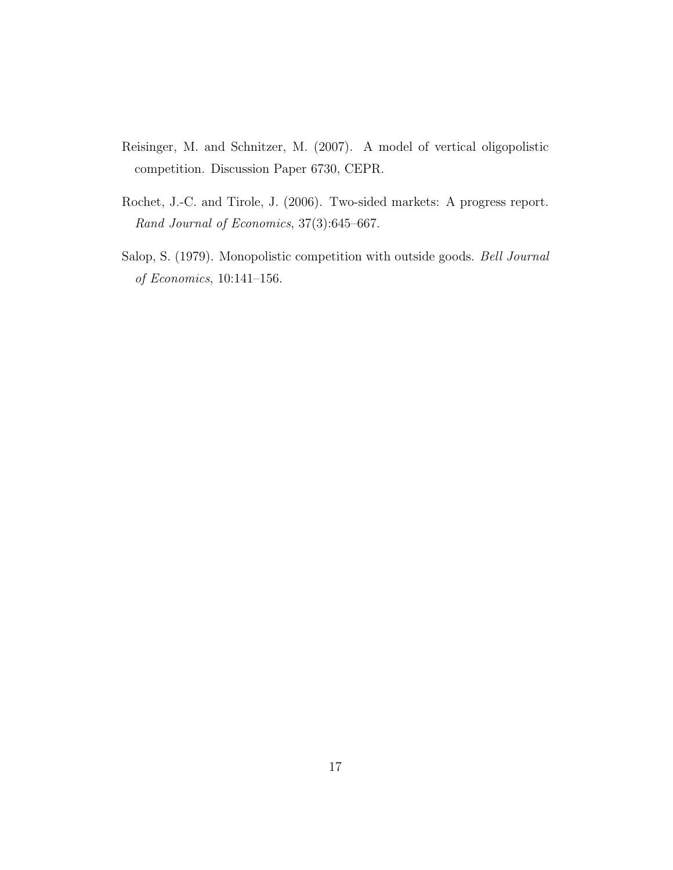- Reisinger, M. and Schnitzer, M. (2007). A model of vertical oligopolistic competition. Discussion Paper 6730, CEPR.
- Rochet, J.-C. and Tirole, J. (2006). Two-sided markets: A progress report. Rand Journal of Economics, 37(3):645–667.
- Salop, S. (1979). Monopolistic competition with outside goods. Bell Journal of Economics, 10:141–156.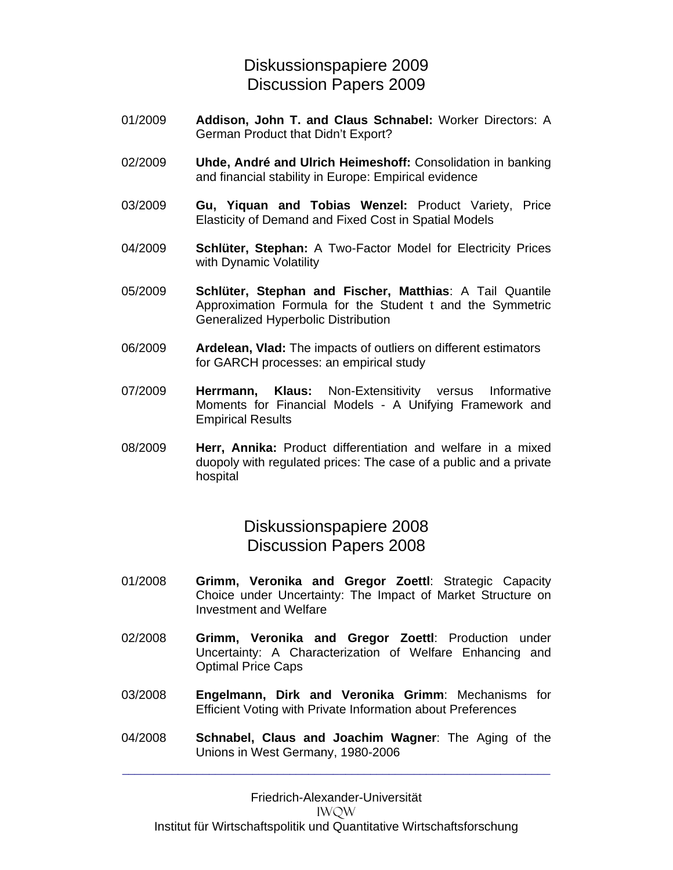#### Diskussionspapiere 2009 Discussion Papers 2009

- 01/2009 **Addison, John T. and Claus Schnabel:** Worker Directors: A German Product that Didn't Export?
- 02/2009 **Uhde, André and Ulrich Heimeshoff:** Consolidation in banking and financial stability in Europe: Empirical evidence
- 03/2009 **Gu, Yiquan and Tobias Wenzel:** Product Variety, Price Elasticity of Demand and Fixed Cost in Spatial Models
- 04/2009 **Schlüter, Stephan:** A Two-Factor Model for Electricity Prices with Dynamic Volatility
- 05/2009 **Schlüter, Stephan and Fischer, Matthias**: A Tail Quantile Approximation Formula for the Student t and the Symmetric Generalized Hyperbolic Distribution
- 06/2009 **Ardelean, Vlad:** The impacts of outliers on different estimators for GARCH processes: an empirical study
- 07/2009 **Herrmann, Klaus:** Non-Extensitivity versus Informative Moments for Financial Models - A Unifying Framework and Empirical Results
- 08/2009 **Herr, Annika:** Product differentiation and welfare in a mixed duopoly with regulated prices: The case of a public and a private hospital

Diskussionspapiere 2008 Discussion Papers 2008

- 01/2008 **Grimm, Veronika and Gregor Zoettl**: Strategic Capacity Choice under Uncertainty: The Impact of Market Structure on Investment and Welfare
- 02/2008 **Grimm, Veronika and Gregor Zoettl**: Production under Uncertainty: A Characterization of Welfare Enhancing and Optimal Price Caps
- 03/2008 **Engelmann, Dirk and Veronika Grimm**: Mechanisms for Efficient Voting with Private Information about Preferences
- 04/2008 **Schnabel, Claus and Joachim Wagner**: The Aging of the Unions in West Germany, 1980-2006

\_\_\_\_\_\_\_\_\_\_\_\_\_\_\_\_\_\_\_\_\_\_\_\_\_\_\_\_\_\_\_\_\_\_\_\_\_\_\_\_\_\_\_\_\_\_\_\_\_\_\_\_\_\_\_\_\_\_\_\_\_\_\_\_\_\_\_\_\_